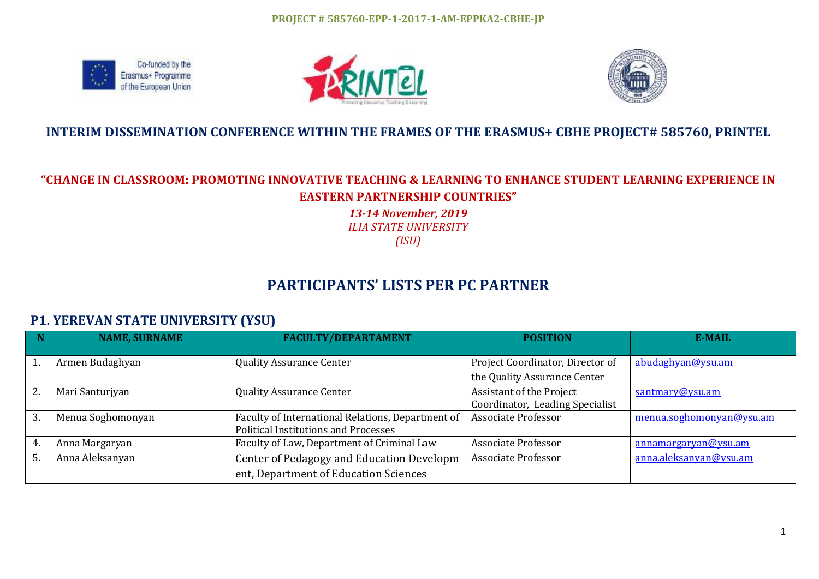





## **INTERIM DISSEMINATION CONFERENCE WITHIN THE FRAMES OF THE ERASMUS+ CBHE PROJECT# 585760, PRINTEL**

## **"CHANGE IN CLASSROOM: PROMOTING INNOVATIVE TEACHING & LEARNING TO ENHANCE STUDENT LEARNING EXPERIENCE IN EASTERN PARTNERSHIP COUNTRIES"**

*13-14 November, 2019 ILIA STATE UNIVERSITY (ISU)*

# **PARTICIPANTS' LISTS PER PC PARTNER**

## **P1. YEREVAN STATE UNIVERSITY (YSU)**

|    | <b>NAME, SURNAME</b> | <b>FACULTY/DEPARTAMENT</b>                                                                       | <b>POSITION</b>                                                  | <b>E-MAIL</b>            |
|----|----------------------|--------------------------------------------------------------------------------------------------|------------------------------------------------------------------|--------------------------|
|    | Armen Budaghyan      | <b>Quality Assurance Center</b>                                                                  | Project Coordinator, Director of<br>the Quality Assurance Center | abudaghyan@ysu.am        |
| 2. | Mari Santurjyan      | <b>Quality Assurance Center</b>                                                                  | Assistant of the Project<br>Coordinator, Leading Specialist      | santmary@ysu.am          |
| 3. | Menua Soghomonyan    | Faculty of International Relations, Department of<br><b>Political Institutions and Processes</b> | <b>Associate Professor</b>                                       | menua.soghomonyan@ysu.am |
| 4. | Anna Margaryan       | Faculty of Law, Department of Criminal Law                                                       | <b>Associate Professor</b>                                       | annamargaryan@ysu.am     |
|    | Anna Aleksanyan      | Center of Pedagogy and Education Developm<br>ent, Department of Education Sciences               | Associate Professor                                              | anna.aleksanyan@ysu.am   |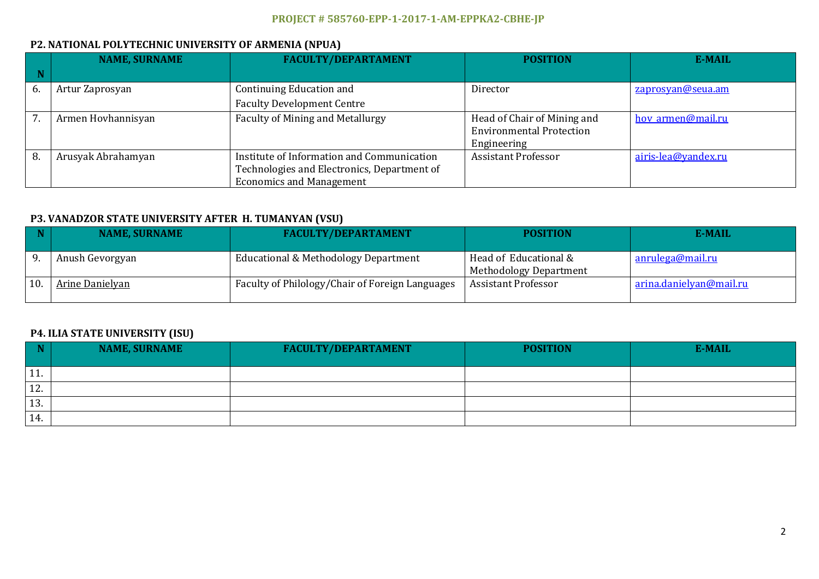### **P2. NATIONAL POLYTECHNIC UNIVERSITY OF ARMENIA (NPUA)**

|    | <b>NAME, SURNAME</b> | <b>FACULTY/DEPARTAMENT</b>                  | <b>POSITION</b>                 | E-MAIL              |
|----|----------------------|---------------------------------------------|---------------------------------|---------------------|
|    |                      |                                             |                                 |                     |
| 6. | Artur Zaprosyan      | Continuing Education and                    | Director                        | zaprosyan@seua.am   |
|    |                      | <b>Faculty Development Centre</b>           |                                 |                     |
|    | Armen Hovhannisyan   | <b>Faculty of Mining and Metallurgy</b>     | Head of Chair of Mining and     | hov armen@mail.ru   |
|    |                      |                                             | <b>Environmental Protection</b> |                     |
|    |                      |                                             | Engineering                     |                     |
| 8. | Arusyak Abrahamyan   | Institute of Information and Communication  | <b>Assistant Professor</b>      | airis-lea@yandex.ru |
|    |                      | Technologies and Electronics, Department of |                                 |                     |
|    |                      | <b>Economics and Management</b>             |                                 |                     |

#### **P3. VANADZOR STATE UNIVERSITY AFTER H. TUMANYAN (VSU)**

| <b>NAME, SURNAME</b> | <b>FACULTY/DEPARTAMENT</b>                      | <b>POSITION</b>                                        | E-MAIL                  |
|----------------------|-------------------------------------------------|--------------------------------------------------------|-------------------------|
| Anush Gevorgyan      | Educational & Methodology Department            | Head of Educational &<br><b>Methodology Department</b> | <u>anrulega@mail.ru</u> |
| Arine Danielyan      | Faculty of Philology/Chair of Foreign Languages | <b>Assistant Professor</b>                             | arina.danielyan@mail.ru |

#### **P4. ILIA STATE UNIVERSITY (ISU)**

|     | <b>NAME, SURNAME</b> | <b>FACULTY/DEPARTAMENT</b> | <b>POSITION</b> | E-MAIL |
|-----|----------------------|----------------------------|-----------------|--------|
| 11. |                      |                            |                 |        |
| 12. |                      |                            |                 |        |
| 13. |                      |                            |                 |        |
| 14. |                      |                            |                 |        |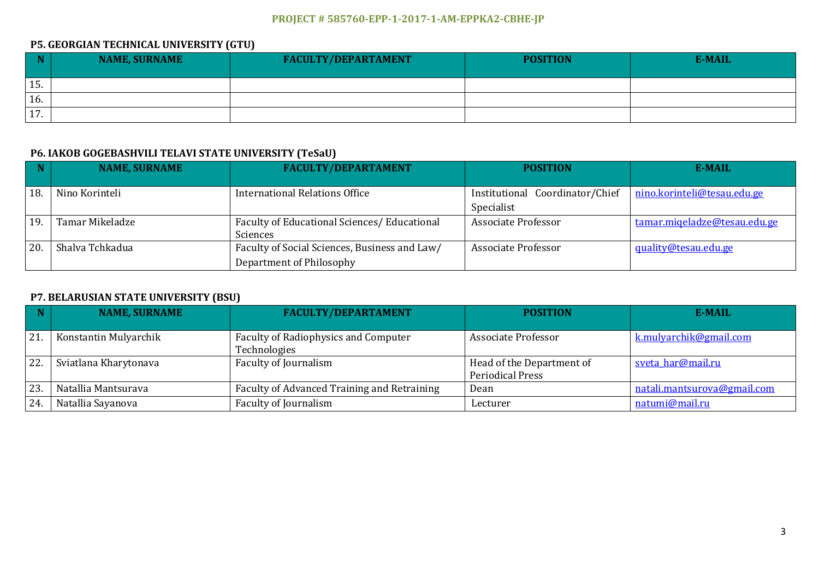### **P5. GEORGIAN TECHNICAL UNIVERSITY (GTU)**

|                       | <b>NAME, SURNAME</b> | <b>FACULTY/DEPARTAMENT</b> | <b>POSITION</b> | E-MAIL |
|-----------------------|----------------------|----------------------------|-----------------|--------|
| 15.                   |                      |                            |                 |        |
| 16.                   |                      |                            |                 |        |
| $\overline{1}$<br>17. |                      |                            |                 |        |

### **P6. IAKOB GOGEBASHVILI TELAVI STATE UNIVERSITY (TeSaU)**

| $\blacksquare$ | <b>NAME, SURNAME</b> | <b>FACULTY/DEPARTAMENT</b>                                | <b>POSITION</b>                 | E-MAIL                       |
|----------------|----------------------|-----------------------------------------------------------|---------------------------------|------------------------------|
| 18.            | Nino Korinteli       | International Relations Office                            | Institutional Coordinator/Chief | nino.korinteli@tesau.edu.ge  |
|                |                      |                                                           | Specialist                      |                              |
| 19             | Tamar Mikeladze      | Faculty of Educational Sciences / Educational<br>Sciences | <b>Associate Professor</b>      | tamar.miqeladze@tesau.edu.ge |
| 20.            | Shalva Tchkadua      | Faculty of Social Sciences, Business and Law/             | Associate Professor             | quality@tesau.edu.ge         |
|                |                      | Department of Philosophy                                  |                                 |                              |

#### **P7. BELARUSIAN STATE UNIVERSITY (BSU)**

|     | <b>NAME, SURNAME</b>  | <b>FACULTY/DEPARTAMENT</b>                           | <b>POSITION</b>                                      | <b>E-MAIL</b>               |
|-----|-----------------------|------------------------------------------------------|------------------------------------------------------|-----------------------------|
| 21. | Konstantin Mulyarchik | Faculty of Radiophysics and Computer<br>Technologies | Associate Professor                                  | k.mulyarchik@gmail.com      |
| 22. | Sviatlana Kharytonava | Faculty of Journalism                                | Head of the Department of<br><b>Periodical Press</b> | sveta har@mail.ru           |
| 23. | Natallia Mantsurava   | Faculty of Advanced Training and Retraining          | Dean                                                 | natali.mantsurova@gmail.com |
| 24  | Natallia Sayanova     | Faculty of Journalism                                | Lecturer                                             | natumi@mail.ru              |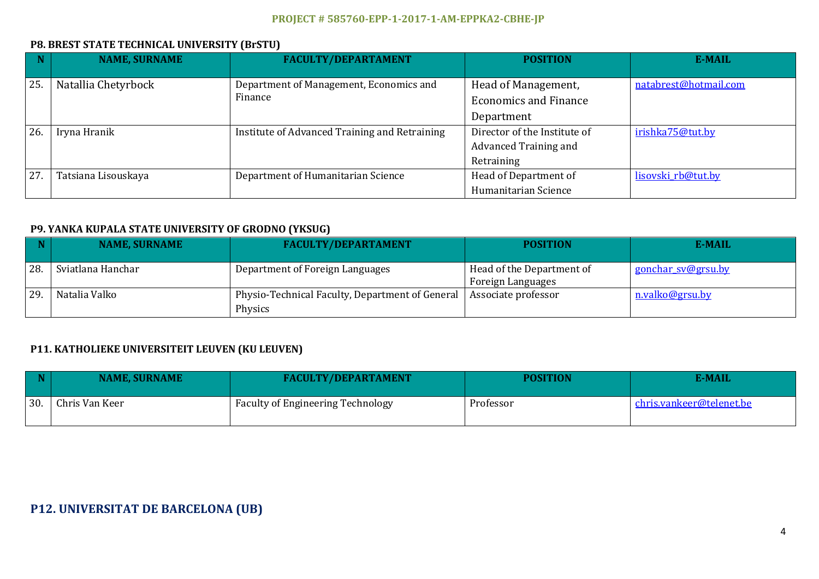### **P8. BREST STATE TECHNICAL UNIVERSITY (BrSTU)**

|     | <b>NAME, SURNAME</b> | <b>FACULTY/DEPARTAMENT</b>                    | <b>POSITION</b>              | <b>E-MAIL</b>         |
|-----|----------------------|-----------------------------------------------|------------------------------|-----------------------|
|     |                      |                                               |                              |                       |
| 25. | Natallia Chetyrbock  | Department of Management, Economics and       | Head of Management,          | natabrest@hotmail.com |
|     |                      | Finance                                       | <b>Economics and Finance</b> |                       |
|     |                      |                                               | Department                   |                       |
| 26. | Iryna Hranik         | Institute of Advanced Training and Retraining | Director of the Institute of | irishka75@tut.by      |
|     |                      |                                               | Advanced Training and        |                       |
|     |                      |                                               | Retraining                   |                       |
| 27. | Tatsiana Lisouskaya  | Department of Humanitarian Science            | Head of Department of        | lisovski rb@tut.by    |
|     |                      |                                               | Humanitarian Science         |                       |

#### **P9. YANKA KUPALA STATE UNIVERSITY OF GRODNO (YKSUG)**

|     | <b>NAME, SURNAME</b> | <b>FACULTY/DEPARTAMENT</b>                                   | <b>POSITION</b>                                | <b>E-MAIL</b>      |
|-----|----------------------|--------------------------------------------------------------|------------------------------------------------|--------------------|
| 28. | Sviatlana Hanchar    | Department of Foreign Languages                              | Head of the Department of<br>Foreign Languages | gonchar sv@grsu.by |
| 29. | Natalia Valko        | Physio-Technical Faculty, Department of General  <br>Physics | Associate professor                            | n.valko@grsu.by    |

#### **P11. KATHOLIEKE UNIVERSITEIT LEUVEN (KU LEUVEN)**

|     | <b>NAME, SURNAME</b> | <b>FACULTY/DEPARTAMENT</b>        | <b>POSITION</b> | <b>E-MAIL</b>            |
|-----|----------------------|-----------------------------------|-----------------|--------------------------|
| 30. | Chris Van Keer       | Faculty of Engineering Technology | Professor       | chris.vankeer@telenet.be |

## **P12. UNIVERSITAT DE BARCELONA (UB)**